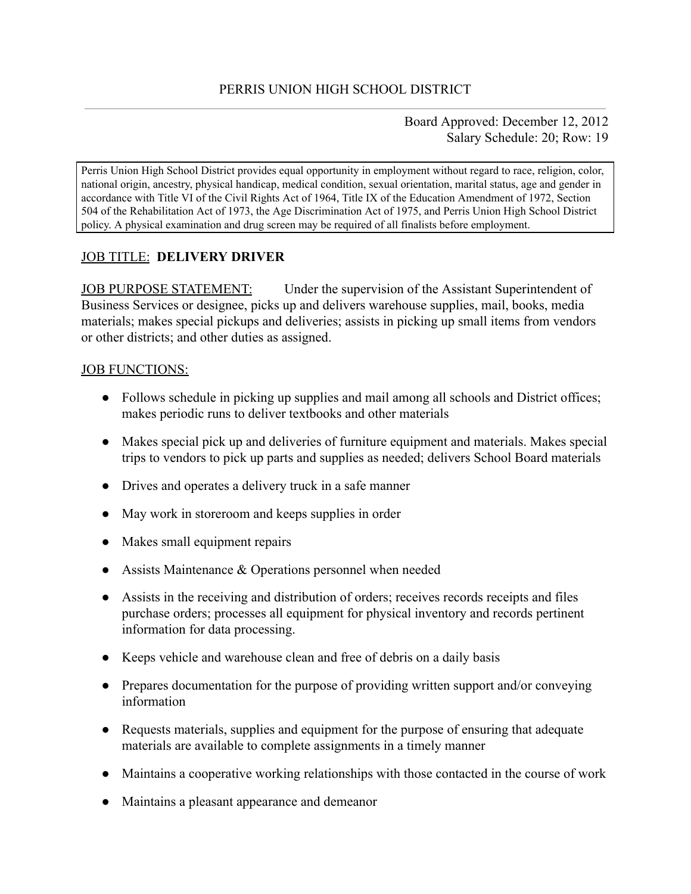Board Approved: December 12, 2012 Salary Schedule: 20; Row: 19

Perris Union High School District provides equal opportunity in employment without regard to race, religion, color, national origin, ancestry, physical handicap, medical condition, sexual orientation, marital status, age and gender in accordance with Title VI of the Civil Rights Act of 1964, Title IX of the Education Amendment of 1972, Section 504 of the Rehabilitation Act of 1973, the Age Discrimination Act of 1975, and Perris Union High School District policy. A physical examination and drug screen may be required of all finalists before employment.

# JOB TITLE: **DELIVERY DRIVER**

JOB PURPOSE STATEMENT: Under the supervision of the Assistant Superintendent of Business Services or designee, picks up and delivers warehouse supplies, mail, books, media materials; makes special pickups and deliveries; assists in picking up small items from vendors or other districts; and other duties as assigned.

### JOB FUNCTIONS:

- Follows schedule in picking up supplies and mail among all schools and District offices; makes periodic runs to deliver textbooks and other materials
- Makes special pick up and deliveries of furniture equipment and materials. Makes special trips to vendors to pick up parts and supplies as needed; delivers School Board materials
- Drives and operates a delivery truck in a safe manner
- May work in storeroom and keeps supplies in order
- Makes small equipment repairs
- Assists Maintenance & Operations personnel when needed
- Assists in the receiving and distribution of orders; receives records receipts and files purchase orders; processes all equipment for physical inventory and records pertinent information for data processing.
- Keeps vehicle and warehouse clean and free of debris on a daily basis
- Prepares documentation for the purpose of providing written support and/or conveying information
- Requests materials, supplies and equipment for the purpose of ensuring that adequate materials are available to complete assignments in a timely manner
- Maintains a cooperative working relationships with those contacted in the course of work
- Maintains a pleasant appearance and demeanor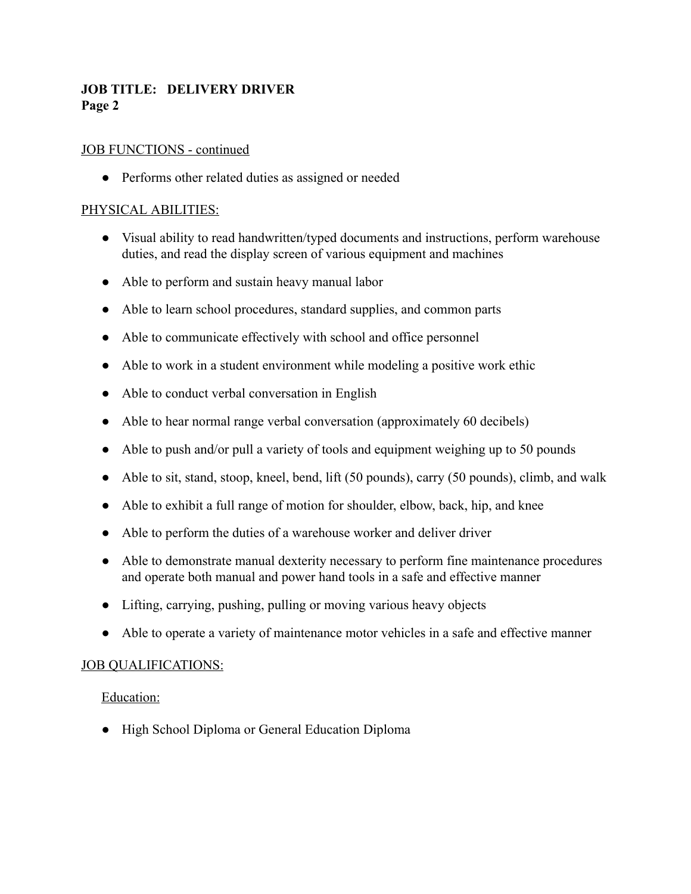## **JOB TITLE: DELIVERY DRIVER Page 2**

### JOB FUNCTIONS - continued

• Performs other related duties as assigned or needed

### PHYSICAL ABILITIES:

- Visual ability to read handwritten/typed documents and instructions, perform warehouse duties, and read the display screen of various equipment and machines
- Able to perform and sustain heavy manual labor
- Able to learn school procedures, standard supplies, and common parts
- Able to communicate effectively with school and office personnel
- Able to work in a student environment while modeling a positive work ethic
- Able to conduct verbal conversation in English
- Able to hear normal range verbal conversation (approximately 60 decibels)
- Able to push and/or pull a variety of tools and equipment weighing up to 50 pounds
- Able to sit, stand, stoop, kneel, bend, lift (50 pounds), carry (50 pounds), climb, and walk
- Able to exhibit a full range of motion for shoulder, elbow, back, hip, and knee
- Able to perform the duties of a warehouse worker and deliver driver
- Able to demonstrate manual dexterity necessary to perform fine maintenance procedures and operate both manual and power hand tools in a safe and effective manner
- Lifting, carrying, pushing, pulling or moving various heavy objects
- Able to operate a variety of maintenance motor vehicles in a safe and effective manner

#### JOB QUALIFICATIONS:

#### Education:

● High School Diploma or General Education Diploma